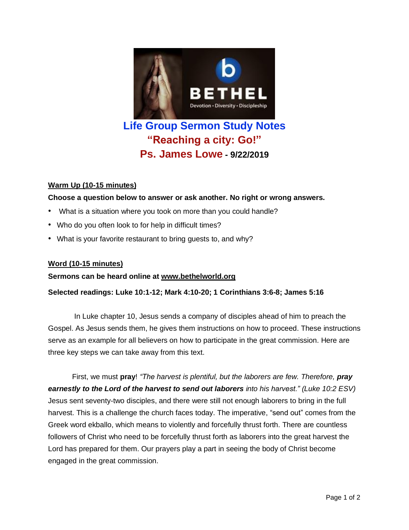

# **Life Group Sermon Study Notes "Reaching a city: Go!" Ps. James Lowe - 9/22/2019**

## **Warm Up (10-15 minutes)**

**Choose a question below to answer or ask another. No right or wrong answers.**

- What is a situation where you took on more than you could handle?
- Who do you often look to for help in difficult times?
- What is your favorite restaurant to bring guests to, and why?

## **Word (10-15 minutes)**

### **Sermons can be heard online at [www.bethelworld.org](http://www.bethelworld.org/)**

### **Selected readings: Luke 10:1-12; Mark 4:10-20; 1 Corinthians 3:6-8; James 5:16**

In Luke chapter 10, Jesus sends a company of disciples ahead of him to preach the Gospel. As Jesus sends them, he gives them instructions on how to proceed. These instructions serve as an example for all believers on how to participate in the great commission. Here are three key steps we can take away from this text.

First, we must **pray**! *"The harvest is plentiful, but the laborers are few. Therefore, pray earnestly to the Lord of the harvest to send out laborers into his harvest." (Luke 10:2 ESV)* Jesus sent seventy-two disciples, and there were still not enough laborers to bring in the full harvest. This is a challenge the church faces today. The imperative, "send out" comes from the Greek word ekballo, which means to violently and forcefully thrust forth. There are countless followers of Christ who need to be forcefully thrust forth as laborers into the great harvest the Lord has prepared for them. Our prayers play a part in seeing the body of Christ become engaged in the great commission.